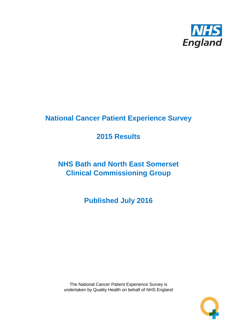

# **National Cancer Patient Experience Survey**

# **2015 Results**

# **NHS Bath and North East Somerset Clinical Commissioning Group**

**Published July 2016**

The National Cancer Patient Experience Survey is undertaken by Quality Health on behalf of NHS England

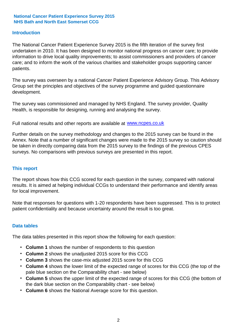### **Introduction**

The National Cancer Patient Experience Survey 2015 is the fifth iteration of the survey first undertaken in 2010. It has been designed to monitor national progress on cancer care; to provide information to drive local quality improvements; to assist commissioners and providers of cancer care; and to inform the work of the various charities and stakeholder groups supporting cancer patients.

The survey was overseen by a national Cancer Patient Experience Advisory Group. This Advisory Group set the principles and objectives of the survey programme and guided questionnaire development.

The survey was commissioned and managed by NHS England. The survey provider, Quality Health, is responsible for designing, running and analysing the survey.

Full national results and other reports are available at www.ncpes.co.uk

Further details on the survey methodology and changes to the 2015 survey can be found in the Annex. Note that a number of significant changes were made to the 2015 survey so caution should be taken in directly comparing data from the 2015 survey to the findings of the previous CPES surveys. No comparisons with previous surveys are presented in this report.

#### **This report**

The report shows how this CCG scored for each question in the survey, compared with national results. It is aimed at helping individual CCGs to understand their performance and identify areas for local improvement.

Note that responses for questions with 1-20 respondents have been suppressed. This is to protect patient confidentiality and because uncertainty around the result is too great.

#### **Data tables**

The data tables presented in this report show the following for each question:

- **Column 1** shows the number of respondents to this question
- **Column 2** shows the unadjusted 2015 score for this CCG
- **Column 3** shows the case-mix adjusted 2015 score for this CCG
- **Column 4** shows the lower limit of the expected range of scores for this CCG (the top of the pale blue section on the Comparability chart - see below)
- **Column 5** shows the upper limit of the expected range of scores for this CCG (the bottom of the dark blue section on the Comparability chart - see below)
- **Column 6** shows the National Average score for this question.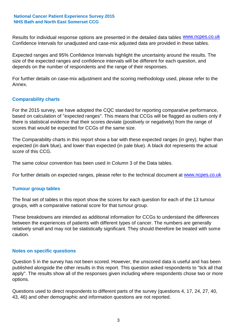Results for individual response options are presented in the detailed data tables **WWW.ncpes.co.uk** Confidence Intervals for unadjusted and case-mix adjusted data are provided in these tables.

Expected ranges and 95% Confidence Intervals highlight the uncertainty around the results. The size of the expected ranges and confidence intervals will be different for each question, and depends on the number of respondents and the range of their responses.

For further details on case-mix adjustment and the scoring methodology used, please refer to the Annex.

### **Comparability charts**

For the 2015 survey, we have adopted the CQC standard for reporting comparative performance, based on calculation of "expected ranges". This means that CCGs will be flagged as outliers only if there is statistical evidence that their scores deviate (positively or negatively) from the range of scores that would be expected for CCGs of the same size.

The Comparability charts in this report show a bar with these expected ranges (in grey), higher than expected (in dark blue), and lower than expected (in pale blue). A black dot represents the actual score of this CCG.

The same colour convention has been used in Column 3 of the Data tables.

For further details on expected ranges, please refer to the technical document at **www.ncpes.co.uk** 

#### **Tumour group tables**

The final set of tables in this report show the scores for each question for each of the 13 tumour groups, with a comparative national score for that tumour group.

These breakdowns are intended as additional information for CCGs to understand the differences between the experiences of patients with different types of cancer. The numbers are generally relatively small and may not be statistically significant. They should therefore be treated with some caution.

#### **Notes on specific questions**

Question 5 in the survey has not been scored. However, the unscored data is useful and has been published alongside the other results in this report. This question asked respondents to "tick all that apply". The results show all of the responses given including where respondents chose two or more options.

Questions used to direct respondents to different parts of the survey (questions 4, 17, 24, 27, 40, 43, 46) and other demographic and information questions are not reported.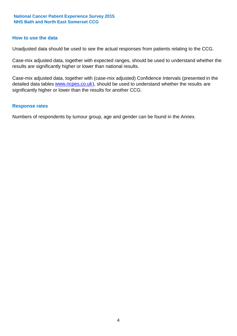#### **How to use the data**

Unadjusted data should be used to see the actual responses from patients relating to the CCG.

Case-mix adjusted data, together with expected ranges, should be used to understand whether the results are significantly higher or lower than national results.

Case-mix adjusted data, together with (case-mix adjusted) Confidence Intervals (presented in the detailed data tables **www.ncpes.co.uk**), should be used to understand whether the results are significantly higher or lower than the results for another CCG.

#### **Response rates**

Numbers of respondents by tumour group, age and gender can be found in the Annex.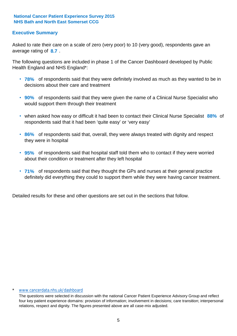### **Executive Summary**

average rating of 8.7. Asked to rate their care on a scale of zero (very poor) to 10 (very good), respondents gave an

The following questions are included in phase 1 of the Cancer Dashboard developed by Public Health England and NHS England\*:

- **78%** of respondents said that they were definitely involved as much as they wanted to be in decisions about their care and treatment
- **90%** of respondents said that they were given the name of a Clinical Nurse Specialist who would support them through their treatment
- when asked how easy or difficult it had been to contact their Clinical Nurse Specialist 88% of respondents said that it had been 'quite easy' or 'very easy'
- **86%** of respondents said that, overall, they were always treated with dignity and respect they were in hospital
- **95%** of respondents said that hospital staff told them who to contact if they were worried about their condition or treatment after they left hospital
- **71%** of respondents said that they thought the GPs and nurses at their general practice definitely did everything they could to support them while they were having cancer treatment.

Detailed results for these and other questions are set out in the sections that follow.

#### \* www.cancerdata.nhs.uk/dashboard

The questions were selected in discussion with the national Cancer Patient Experience Advisory Group and reflect four key patient experience domains: provision of information; involvement in decisions; care transition; interpersonal relations, respect and dignity. The figures presented above are all case-mix adjusted.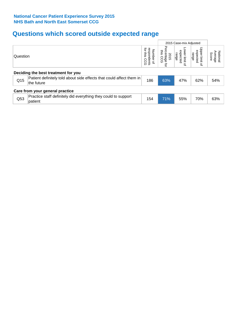# **Questions which scored outside expected range**

|                                                                           |                                                                |                                                                      |                                             | 2015 Case-mix Adjusted                |                              |  |  |  |  |
|---------------------------------------------------------------------------|----------------------------------------------------------------|----------------------------------------------------------------------|---------------------------------------------|---------------------------------------|------------------------------|--|--|--|--|
| Question                                                                  | ਕ੍ਰ<br>respondents<br>Number<br>sins.<br>coo<br>$\overline{a}$ | Pero<br>ins.<br>entage<br>is CCG<br>2015<br>ą                        | ower limit<br>expected<br>range<br>$\Omega$ | Upper limit<br>expected<br>range<br>₽ | National<br>Average<br>Score |  |  |  |  |
| Deciding the best treatment for you                                       |                                                                |                                                                      |                                             |                                       |                              |  |  |  |  |
| the future                                                                | 186                                                            | 63%                                                                  | 47%                                         | 62%                                   | 54%                          |  |  |  |  |
| Care from your general practice                                           |                                                                |                                                                      |                                             |                                       |                              |  |  |  |  |
| Practice staff definitely did everything they could to support<br>patient | 154                                                            | 71%                                                                  | 55%                                         | 70%                                   | 63%                          |  |  |  |  |
|                                                                           |                                                                | Patient definitely told about side effects that could affect them in |                                             |                                       |                              |  |  |  |  |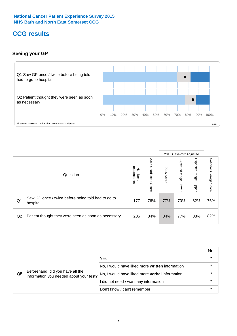# **CCG results**

### **Seeing your GP**



|    |                                                                |                                              |                             |               | 2015 Case-mix Adjusted     |                            |                           |
|----|----------------------------------------------------------------|----------------------------------------------|-----------------------------|---------------|----------------------------|----------------------------|---------------------------|
|    | Question                                                       | respondents<br>Number<br>$\overline{\sigma}$ | 2015<br>Unadjusted<br>Score | 2015<br>Score | Expected<br>range<br>lower | Expected<br>range<br>nbber | National Average<br>Score |
| Q1 | Saw GP once / twice before being told had to go to<br>hospital | 177                                          | 76%                         | 77%           | 70%                        | 82%                        | 76%                       |
| Q2 | Patient thought they were seen as soon as necessary            | 205                                          | 84%                         | 84%           | 77%                        | 88%                        | 82%                       |

|    |                                                                             |                                                 | No.     |
|----|-----------------------------------------------------------------------------|-------------------------------------------------|---------|
|    | Beforehand, did you have all the<br>information you needed about your test? | Yes                                             | $\star$ |
|    |                                                                             | No, I would have liked more written information |         |
| Q5 |                                                                             | No, I would have liked more verbal information  | $\star$ |
|    |                                                                             | I did not need / want any information           | $\star$ |
|    |                                                                             | Don't know / can't remember                     |         |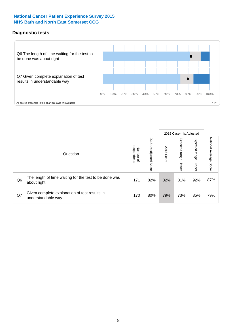### **Diagnostic tests**



|                |                                                                       |                          |                             |               | 2015 Case-mix Adjusted  |                         |                        |
|----------------|-----------------------------------------------------------------------|--------------------------|-----------------------------|---------------|-------------------------|-------------------------|------------------------|
|                | Question                                                              | Number of<br>respondents | 2015<br>Unadjusted<br>Score | 2015<br>Score | Expected range<br>lower | Expected range<br>nbber | National Average Score |
| Q <sub>6</sub> | The length of time waiting for the test to be done was<br>about right | 171                      | 82%                         | 82%           | 81%                     | 92%                     | 87%                    |
| Q7             | Given complete explanation of test results in<br>understandable way   | 170                      | 80%                         | 79%           | 73%                     | 85%                     | 79%                    |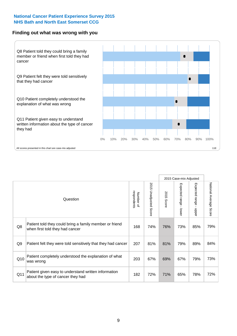#### **Finding out what was wrong with you**



|     |                                                                                            |                          |                             |               | 2015 Case-mix Adjusted |                                           |                           |
|-----|--------------------------------------------------------------------------------------------|--------------------------|-----------------------------|---------------|------------------------|-------------------------------------------|---------------------------|
|     | Question                                                                                   | respondents<br>Number of | 2015<br>Unadjusted<br>Score | 2015<br>Score | Expected range - lower | Expected range<br>$\blacksquare$<br>nbber | National Average<br>Score |
| Q8  | Patient told they could bring a family member or friend<br>when first told they had cancer | 168                      | 74%                         | 76%           | 73%                    | 85%                                       | 79%                       |
| Q9  | Patient felt they were told sensitively that they had cancer                               | 207                      | 81%                         | 81%           | 79%                    | 89%                                       | 84%                       |
| Q10 | Patient completely understood the explanation of what<br>was wrong                         | 203                      | 67%                         | 69%           | 67%                    | 79%                                       | 73%                       |
| Q11 | Patient given easy to understand written information<br>about the type of cancer they had  | 182                      | 72%                         | 71%           | 65%                    | 78%                                       | 72%                       |
|     |                                                                                            |                          |                             |               |                        |                                           |                           |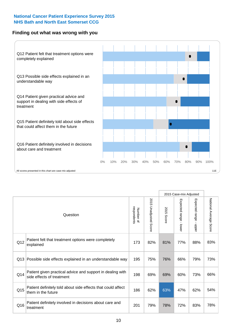### **Finding out what was wrong with you**



|                 |                                                                                         |                          |                          |               | 2015 Case-mix Adjusted                  |                           |                        |
|-----------------|-----------------------------------------------------------------------------------------|--------------------------|--------------------------|---------------|-----------------------------------------|---------------------------|------------------------|
| Question        |                                                                                         | Number of<br>respondents | 2015<br>Unadjusted Score | 2015<br>Score | Expected range<br>$\mathbf{r}$<br>lower | Expected range -<br>nbber | National Average Score |
| Q12             | Patient felt that treatment options were completely<br>explained                        | 173                      | 82%                      | 81%           | 77%                                     | 88%                       | 83%                    |
| Q13             | Possible side effects explained in an understandable way                                | 195                      | 75%                      | 76%           | 66%                                     | 79%                       | 73%                    |
| Q14             | Patient given practical advice and support in dealing with<br>side effects of treatment | 198                      | 69%                      | 69%           | 60%                                     | 73%                       | 66%                    |
| Q <sub>15</sub> | Patient definitely told about side effects that could affect<br>them in the future      | 186                      | 62%                      | 63%           | 47%                                     | 62%                       | 54%                    |
| Q16             | Patient definitely involved in decisions about care and<br>treatment                    | 201                      | 79%                      | 78%           | 72%                                     | 83%                       | 78%                    |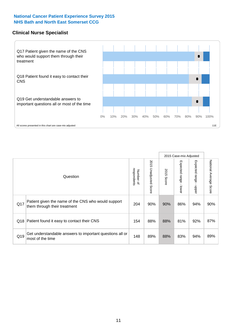#### **Clinical Nurse Specialist**



|     |                                                                                     |                          |                       |               | 2015 Case-mix Adjusted  |                         |                                  |
|-----|-------------------------------------------------------------------------------------|--------------------------|-----------------------|---------------|-------------------------|-------------------------|----------------------------------|
|     | Question                                                                            | respondents<br>Number of | 2015 Unadjusted Score | 2015<br>Score | Expected range<br>lower | Expected range<br>nbber | National Average<br><b>Score</b> |
| Q17 | Patient given the name of the CNS who would support<br>them through their treatment | 204                      | 90%                   | 90%           | 86%                     | 94%                     | 90%                              |
| Q18 | Patient found it easy to contact their CNS                                          | 154                      | 88%                   | 88%           | 81%                     | 92%                     | 87%                              |
| Q19 | Get understandable answers to important questions all or<br>most of the time        | 148                      | 89%                   | 88%           | 83%                     | 94%                     | 89%                              |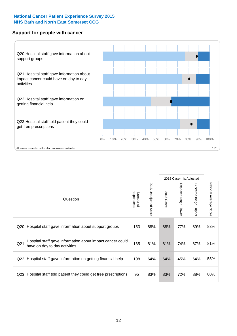#### **Support for people with cancer**



|                 |                                                                                            |                          |                       |            | 2015 Case-mix Adjusted    |                                         |                           |
|-----------------|--------------------------------------------------------------------------------------------|--------------------------|-----------------------|------------|---------------------------|-----------------------------------------|---------------------------|
|                 | Question                                                                                   | respondents<br>Number of | 2015 Unadjusted Score | 2015 Score | Expected range<br>- lower | Expected range<br>$\mathbf{r}$<br>nbber | National Average<br>Score |
| Q20             | Hospital staff gave information about support groups                                       | 153                      | 88%                   | 88%        | 77%                       | 89%                                     | 83%                       |
| Q21             | Hospital staff gave information about impact cancer could<br>have on day to day activities | 135                      | 81%                   | 81%        | 74%                       | 87%                                     | 81%                       |
| Q22             | Hospital staff gave information on getting financial help                                  | 108                      | 64%                   | 64%        | 45%                       | 64%                                     | 55%                       |
| Q <sub>23</sub> | Hospital staff told patient they could get free prescriptions                              | 95                       | 83%                   | 83%        | 72%                       | 88%                                     | 80%                       |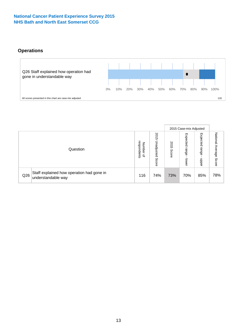### **Operations**



|     |                                                                 |                                         |                             |                    | 2015 Case-mix Adjusted     |                            |                              |
|-----|-----------------------------------------------------------------|-----------------------------------------|-----------------------------|--------------------|----------------------------|----------------------------|------------------------------|
|     | Question                                                        | respondents<br>Number<br>$\overline{a}$ | 2015<br>Unadjusted<br>Score | 201<br>CΠ<br>Score | Expected<br>range<br>lower | Expected<br>range<br>doper | National<br>Average<br>Score |
| Q26 | Staff explained how operation had gone in<br>understandable way | 116                                     | 74%                         | 73%                | 70%                        | 85%                        | 78%                          |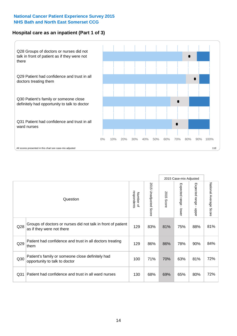### **Hospital care as an inpatient (Part 1 of 3)**



All scores presented in this chart are case-mix adjusted  $11E$ 

|                 |                                                                                           |                          |                          |               | 2015 Case-mix Adjusted                  |                           |                        |
|-----------------|-------------------------------------------------------------------------------------------|--------------------------|--------------------------|---------------|-----------------------------------------|---------------------------|------------------------|
|                 | Question                                                                                  | respondents<br>Number of | 2015<br>Unadjusted Score | 2015<br>Score | Expected range<br>$\mathbf{r}$<br>lower | Expected range<br>- nbber | National Average Score |
| Q28             | Groups of doctors or nurses did not talk in front of patient<br>as if they were not there | 129                      | 83%                      | 81%           | 75%                                     | 88%                       | 81%                    |
| Q29             | Patient had confidence and trust in all doctors treating<br>them                          | 129                      | 86%                      | 86%           | 78%                                     | 90%                       | 84%                    |
| Q30             | Patient's family or someone close definitely had<br>opportunity to talk to doctor         | 100                      | 71%                      | 70%           | 63%                                     | 81%                       | 72%                    |
| Q <sub>31</sub> | Patient had confidence and trust in all ward nurses                                       | 130                      | 68%                      | 69%           | 65%                                     | 80%                       | 72%                    |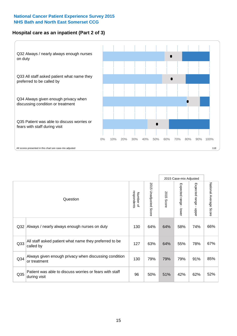### **Hospital care as an inpatient (Part 2 of 3)**



|                 | Question                                                                | respondents<br>Number of | 2015<br><b>Unadjusted Score</b> | 2015<br><b>Score</b> | Expected range<br>lower | Expected range<br>$\blacksquare$<br>nbber | National Average Score |
|-----------------|-------------------------------------------------------------------------|--------------------------|---------------------------------|----------------------|-------------------------|-------------------------------------------|------------------------|
| Q <sub>32</sub> | Always / nearly always enough nurses on duty                            | 130                      | 64%                             | 64%                  | 58%                     | 74%                                       | 66%                    |
| Q <sub>33</sub> | All staff asked patient what name they preferred to be<br>called by     | 127                      | 63%                             | 64%                  | 55%                     | 78%                                       | 67%                    |
| Q34             | Always given enough privacy when discussing condition<br>or treatment   | 130                      | 79%                             | 79%                  | 79%                     | 91%                                       | 85%                    |
| Q35             | Patient was able to discuss worries or fears with staff<br>during visit | 96                       | 50%                             | 51%                  | 42%                     | 62%                                       | 52%                    |

2015 Case-mix Adjusted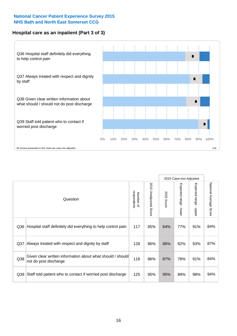### **Hospital care as an inpatient (Part 3 of 3)**



|                 |                                                                                     |                          |                       |               | 2015 Case-mix Adjusted                    |                           |                        |
|-----------------|-------------------------------------------------------------------------------------|--------------------------|-----------------------|---------------|-------------------------------------------|---------------------------|------------------------|
|                 | Question                                                                            | respondents<br>Number of | 2015 Unadjusted Score | 2015<br>Score | Expected range<br>$\blacksquare$<br>lower | Expected range -<br>nbber | National Average Score |
| Q36             | Hospital staff definitely did everything to help control pain                       | 117                      | 85%                   | 84%           | 77%                                       | 91%                       | 84%                    |
| Q <sub>37</sub> | Always treated with respect and dignity by staff                                    | 128                      | 86%                   | 86%           | 82%                                       | 93%                       | 87%                    |
| Q38             | Given clear written information about what should / should<br>not do post discharge | 118                      | 86%                   | 87%           | 78%                                       | 91%                       | 84%                    |
| Q39             | Staff told patient who to contact if worried post discharge                         | 125                      | 95%                   | 95%           | 89%                                       | 98%                       | 94%                    |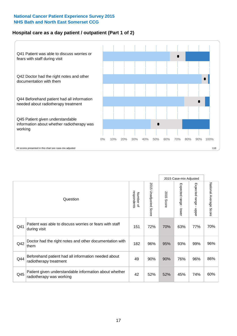### **Hospital care as a day patient / outpatient (Part 1 of 2)**



|     |                                                                                    |                          |                                      |               | 2015 Case-mix Adjusted                    |                                           |                        |
|-----|------------------------------------------------------------------------------------|--------------------------|--------------------------------------|---------------|-------------------------------------------|-------------------------------------------|------------------------|
|     | Question                                                                           | respondents<br>Number of | 201<br>C)<br><b>Unadjusted Score</b> | 2015<br>Score | Expected range<br>$\blacksquare$<br>lower | Expected range<br>$\blacksquare$<br>nbber | National Average Score |
| Q41 | Patient was able to discuss worries or fears with staff<br>during visit            | 151                      | 72%                                  | 70%           | 63%                                       | 77%                                       | 70%                    |
| Q42 | Doctor had the right notes and other documentation with<br>them                    | 182                      | 96%                                  | 95%           | 93%                                       | 99%                                       | 96%                    |
| Q44 | Beforehand patient had all information needed about<br>radiotherapy treatment      | 49                       | 90%                                  | 90%           | 76%                                       | 96%                                       | 86%                    |
| Q45 | Patient given understandable information about whether<br>radiotherapy was working | 42                       | 52%                                  | 52%           | 45%                                       | 74%                                       | 60%                    |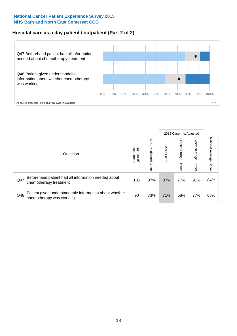### **Hospital care as a day patient / outpatient (Part 2 of 2)**



|     |                                                                                    |                                       | 2015 Case-mix Adjusted      |               |                             |                         |                           |
|-----|------------------------------------------------------------------------------------|---------------------------------------|-----------------------------|---------------|-----------------------------|-------------------------|---------------------------|
|     | Question                                                                           | respondents<br>Number<br>$\mathbf{Q}$ | 2015<br>Unadjusted<br>Score | 2015<br>Score | Expected<br>Irange<br>lower | Expected range<br>doper | National Average<br>Score |
| Q47 | Beforehand patient had all information needed about<br>chemotherapy treatment      | 105                                   | 87%                         | 87%           | 77%                         | 91%                     | 84%                       |
| Q48 | Patient given understandable information about whether<br>chemotherapy was working | 90                                    | 73%                         | 71%           | 58%                         | 77%                     | 68%                       |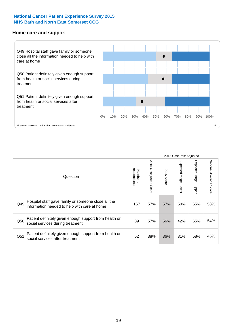#### **Home care and support**



2015 Case-mix Adjusted 2015 Unadjusted Score Expected range - upper National Average Score 2015 Unadjusted Score Expected range - lower National Average Score Expected range - lower Expected range - upper Number of<br>respondents respondents 2015 Score 2015 Score Number of Question Hospital staff gave family or someone close all the  $Q49$  information needed to help with care at home  $Q49$  167 | 57% | 57% | 50% | 65% | 58% Patient definitely given enough support from health or  $\frac{1}{250}$  social services during treatment  $\frac{1}{250}$   $\frac{1}{25\%}$  57% 56% 42% 65% 54% Patient definitely given enough support from health or  $\frac{3651}{1000}$  social services after treatment  $\frac{365}{1000}$   $\frac{38\%}{36\%}$  36%  $\frac{31\%}{31\%}$  58%  $\frac{45\%}{36\%}$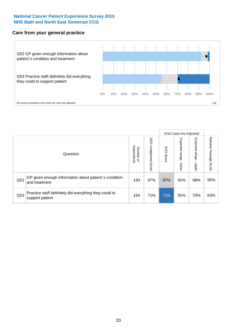### **Care from your general practice**



|     |                                                                           |                                       |                             |               |                                   | 2015 Case-mix Adjusted     |                           |
|-----|---------------------------------------------------------------------------|---------------------------------------|-----------------------------|---------------|-----------------------------------|----------------------------|---------------------------|
|     | Question                                                                  | respondents<br>Number<br>$\mathbf{Q}$ | 2015<br>Unadjusted<br>Score | 2015<br>Score | Expected<br><b>Lange</b><br>lower | Expected<br>range<br>nbber | National Average<br>Score |
| Q52 | GP given enough information about patient's condition<br>and treatment    | 193                                   | 97%                         | 97%           | 92%                               | 98%                        | 95%                       |
| Q53 | Practice staff definitely did everything they could to<br>support patient | 154                                   | 71%                         | 71%           | 55%                               | 70%                        | 63%                       |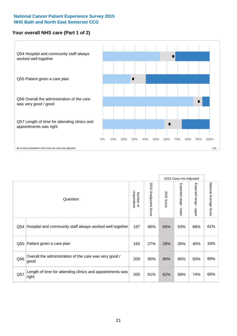### **Your overall NHS care (Part 1 of 2)**



|     |                                                                    |                          | 2015 Case-mix Adjusted          |               |                                           |                                           |                        |
|-----|--------------------------------------------------------------------|--------------------------|---------------------------------|---------------|-------------------------------------------|-------------------------------------------|------------------------|
|     | Question                                                           | respondents<br>Number of | 2015<br><b>Unadjusted Score</b> | 2015<br>Score | Expected range<br>$\blacksquare$<br>lower | Expected range<br>$\blacksquare$<br>nbber | National Average Score |
| Q54 | Hospital and community staff always worked well together           | 197                      | 66%                             | 66%           | 53%                                       | 68%                                       | 61%                    |
| Q55 | Patient given a care plan                                          | 165                      | 27%                             | 28%           | 26%                                       | 40%                                       | 33%                    |
| Q56 | Overall the administration of the care was very good /<br>good     | 209                      | 90%                             | 90%           | 85%                                       | 93%                                       | 89%                    |
| Q57 | Length of time for attending clinics and appointments was<br>right | 205                      | 61%                             | 62%           | 58%                                       | 74%                                       | 66%                    |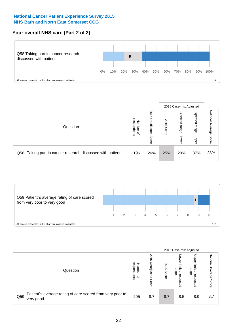### **Your overall NHS care (Part 2 of 2)**



|     |                                                       |                                              |                             |               |                            | 2015 Case-mix Adjusted     |                        |
|-----|-------------------------------------------------------|----------------------------------------------|-----------------------------|---------------|----------------------------|----------------------------|------------------------|
|     | Question                                              | respondents<br>Number<br>$\overline{\sigma}$ | 2015<br>Unadjusted<br>Score | 2015<br>Score | Expected<br>range<br>lower | Expected<br>range<br>doper | National Average Score |
| Q58 | Taking part in cancer research discussed with patient | 196                                          | 26%                         | 25%           | 20%                        | 37%                        | 28%                    |



|     |                                                                        |                                              |                             |               |                                                           | 2015 Case-mix Adjusted                   |                              |
|-----|------------------------------------------------------------------------|----------------------------------------------|-----------------------------|---------------|-----------------------------------------------------------|------------------------------------------|------------------------------|
|     | Question                                                               | respondents<br>Number<br>$\overline{\sigma}$ | 2015<br>Inadjusted<br>Score | 2015<br>Score | OWer<br>limit<br>range<br>$\overline{\sigma}$<br>expected | Upper<br>limit<br>range<br>õ<br>expected | National<br>Average<br>Score |
| Q59 | Patient's average rating of care scored from very poor to<br>very good | 205                                          | 8.7                         | 8.7           | 8.5                                                       | 8.9                                      | 8.7                          |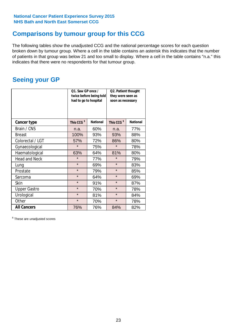# **Comparisons by tumour group for this CCG**

The following tables show the unadjusted CCG and the national percentage scores for each question broken down by tumour group. Where a cell in the table contains an asterisk this indicates that the number of patients in that group was below 21 and too small to display. Where a cell in the table contains "n.a." this indicates that there were no respondents for that tumour group.

# **Seeing your GP**

|                      | Q1. Saw GP once /<br>had to go to hospital | twice before being told | Q2. Patient thought<br>they were seen as<br>soon as necessary |                 |  |
|----------------------|--------------------------------------------|-------------------------|---------------------------------------------------------------|-----------------|--|
| <b>Cancer type</b>   | This CCG <sup>\$</sup>                     | <b>National</b>         | This CCG <sup>\$</sup>                                        | <b>National</b> |  |
| Brain / CNS          | n.a.                                       | 60%                     | n.a.                                                          | 77%             |  |
| <b>Breast</b>        | 100%                                       | 93%                     | 93%                                                           | 88%             |  |
| Colorectal / LGT     | 57%                                        | 72%                     | 86%                                                           | 80%             |  |
| Gynaecological       | $\star$                                    | 75%                     | $\star$                                                       | 78%             |  |
| Haematological       | 63%                                        | 64%                     | 81%                                                           | 80%             |  |
| <b>Head and Neck</b> | $\star$                                    | 77%                     | $\star$                                                       | 79%             |  |
| Lung                 | $\star$                                    | 69%                     | $\star$                                                       | 83%             |  |
| Prostate             | $\star$                                    | 79%                     | $\star$                                                       | 85%             |  |
| Sarcoma              | $\star$                                    | 64%                     | $\star$                                                       | 69%             |  |
| <b>Skin</b>          | $\star$                                    | 91%                     | $\star$                                                       | 87%             |  |
| <b>Upper Gastro</b>  | $\star$                                    | 70%                     | $\star$                                                       | 78%             |  |
| Urological           | $\star$                                    | 81%                     | $\star$                                                       | 84%             |  |
| Other                | $\star$                                    | 70%                     | $\star$                                                       | 78%             |  |
| <b>All Cancers</b>   | 76%                                        | 76%                     | 84%                                                           | 82%             |  |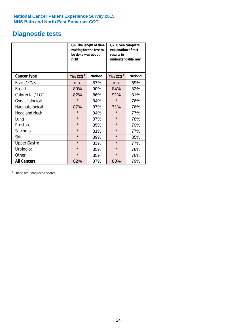# **Diagnostic tests**

|                      | be done was about<br>right | Q6. The length of time<br>waiting for the test to | Q7. Given complete<br>explanation of test<br>results in<br>understandable way |                 |  |
|----------------------|----------------------------|---------------------------------------------------|-------------------------------------------------------------------------------|-----------------|--|
| <b>Cancer type</b>   | This CCG <sup>\$</sup>     | <b>National</b>                                   | This CCG <sup>\$</sup>                                                        | <b>National</b> |  |
| Brain / CNS          | n.a.                       | 87%                                               | n.a.                                                                          | 69%             |  |
| <b>Breast</b>        | 80%                        | 90%                                               | 84%                                                                           | 82%             |  |
| Colorectal / LGT     | 82%                        | 86%                                               | 91%                                                                           | 81%             |  |
| Gynaecological       | $\star$                    | 84%                                               | $\star$                                                                       | 76%             |  |
| Haematological       | 87%                        | 87%                                               | 71%                                                                           | 76%             |  |
| <b>Head and Neck</b> | $\star$                    | 84%                                               | $\star$                                                                       | 77%             |  |
| Lung                 | $\star$                    | 87%                                               | $\star$                                                                       | 78%             |  |
| Prostate             | $\star$                    | 85%                                               | $\star$                                                                       | 79%             |  |
| Sarcoma              | $\star$                    | 81%                                               | $\star$                                                                       | 77%             |  |
| Skin                 | $\star$                    | 89%                                               | $\star$                                                                       | 85%             |  |
| <b>Upper Gastro</b>  | $\star$                    | 83%                                               | $\star$                                                                       | 77%             |  |
| Urological           | $\star$                    | 85%                                               | $\star$                                                                       | 78%             |  |
| Other                | $\star$                    | 85%                                               | $\star$                                                                       | 76%             |  |
| <b>All Cancers</b>   | 82%                        | 87%                                               | 80%                                                                           | 79%             |  |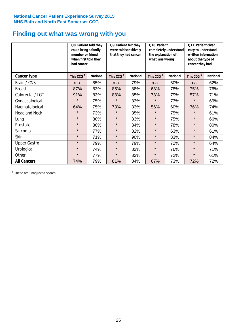# **Finding out what was wrong with you**

|                      | Q8. Patient told they<br>could bring a family<br>member or friend<br>when first told they<br>had cancer |                 | Q9. Patient felt they<br>were told sensitively<br>that they had cancer |                 | Q10. Patient<br>completely understood<br>the explanation of<br>what was wrong |                 | Q11. Patient given<br>easy to understand<br>written information<br>about the type of<br>cancer they had |                 |
|----------------------|---------------------------------------------------------------------------------------------------------|-----------------|------------------------------------------------------------------------|-----------------|-------------------------------------------------------------------------------|-----------------|---------------------------------------------------------------------------------------------------------|-----------------|
| <b>Cancer type</b>   | This CCG <sup>\$</sup>                                                                                  | <b>National</b> | This CCG <sup>\$</sup>                                                 | <b>National</b> | This CCG <sup>\$</sup>                                                        | <b>National</b> | This CCG <sup>\$</sup>                                                                                  | <b>National</b> |
| Brain / CNS          | n.a.                                                                                                    | 85%             | n.a.                                                                   | 79%             | n.a.                                                                          | 60%             | n.a.                                                                                                    | 62%             |
| <b>Breast</b>        | 87%                                                                                                     | 83%             | 85%                                                                    | 88%             | 63%                                                                           | 78%             | 75%                                                                                                     | 76%             |
| Colorectal / LGT     | 91%                                                                                                     | 83%             | 83%                                                                    | 85%             | 73%                                                                           | 79%             | 57%                                                                                                     | 71%             |
| Gynaecological       | $\star$                                                                                                 | 75%             | $\star$                                                                | 83%             | $\star$                                                                       | 73%             | $\star$                                                                                                 | 69%             |
| Haematological       | 64%                                                                                                     | 75%             | 73%                                                                    | 83%             | 56%                                                                           | 60%             | 76%                                                                                                     | 74%             |
| <b>Head and Neck</b> | $\star$                                                                                                 | 73%             | $\star$                                                                | 85%             | $\star$                                                                       | 75%             | $\star$                                                                                                 | 61%             |
| Lung                 | $\star$                                                                                                 | 80%             | $\star$                                                                | 83%             | $\star$                                                                       | 75%             | $\star$                                                                                                 | 66%             |
| Prostate             | $\star$                                                                                                 | 80%             | $\star$                                                                | 84%             | $\star$                                                                       | 78%             | $\star$                                                                                                 | 80%             |
| Sarcoma              | $\star$                                                                                                 | 77%             | $\star$                                                                | 82%             | $\star$                                                                       | 63%             | $\star$                                                                                                 | 61%             |
| Skin                 | $\star$                                                                                                 | 71%             | $\star$                                                                | 90%             | $\star$                                                                       | 83%             | $\star$                                                                                                 | 84%             |
| <b>Upper Gastro</b>  | $\star$                                                                                                 | 79%             | $\star$                                                                | 79%             | $\star$                                                                       | 72%             | $\star$                                                                                                 | 64%             |
| Urological           | $\star$                                                                                                 | 74%             | $\star$                                                                | 82%             | $\star$                                                                       | 76%             | $\star$                                                                                                 | 71%             |
| Other                | $\star$                                                                                                 | 77%             | $\star$                                                                | 82%             | $\star$                                                                       | 72%             | $\star$                                                                                                 | 61%             |
| <b>All Cancers</b>   | 74%                                                                                                     | 79%             | 81%                                                                    | 84%             | 67%                                                                           | 73%             | 72%                                                                                                     | 72%             |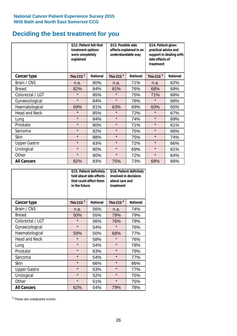# **Deciding the best treatment for you**

|                      | treatment options<br>were completely<br>explained | Q12. Patient felt that | Q13. Possible side<br>understandable way | effects explained in an | Q14. Patient given<br>practical advice and<br>support in dealing with<br>side effects of<br>treatment |                 |  |
|----------------------|---------------------------------------------------|------------------------|------------------------------------------|-------------------------|-------------------------------------------------------------------------------------------------------|-----------------|--|
| <b>Cancer type</b>   | This CCG <sup>\$</sup>                            | <b>National</b>        | This CCG <sup>\$</sup>                   | <b>National</b>         | This CCG <sup>\$</sup>                                                                                | <b>National</b> |  |
| Brain / CNS          | n.a.                                              | 80%                    | n.a.                                     | 71%                     | n.a.                                                                                                  | 62%             |  |
| <b>Breast</b>        | 82%                                               | 84%                    | 81%                                      | 76%                     | 68%                                                                                                   | 69%             |  |
| Colorectal / LGT     | $\star$                                           | 85%                    | $\star$                                  | 75%                     | 71%                                                                                                   | 68%             |  |
| Gynaecological       | $\star$                                           | 84%                    | $\star$                                  | 76%                     | $\star$                                                                                               | 68%             |  |
| Haematological       | 69%                                               | 81%                    | 63%                                      | 69%                     | 60%                                                                                                   | 65%             |  |
| <b>Head and Neck</b> | $\star$                                           | 85%                    | $\star$                                  | 72%                     | $\star$                                                                                               | 67%             |  |
| Lung                 | $\star$                                           | 84%                    | $\star$                                  | 74%                     | $\star$                                                                                               | 69%             |  |
| Prostate             | $\star$                                           | 80%                    | $\star$                                  | 71%                     | $\star$                                                                                               | 61%             |  |
| Sarcoma              | $\star$                                           | 82%                    | $\star$                                  | 75%                     | $\star$                                                                                               | 66%             |  |
| Skin                 | $\star$                                           | 88%                    | $\star$                                  | 75%                     | $\star$                                                                                               | 74%             |  |
| <b>Upper Gastro</b>  | $\star$                                           | 83%                    | $\star$                                  | 72%                     | $\star$                                                                                               | 66%             |  |
| Urological           | $\star$                                           | 80%                    | $\star$                                  | 69%                     | $\star$                                                                                               | 61%             |  |
| Other                | $\star$                                           | 80%                    | $\star$<br>72%                           |                         | $\star$                                                                                               | 64%             |  |
| <b>All Cancers</b>   | 82%                                               | 83%                    | 75%                                      | 73%                     | 69%                                                                                                   | 66%             |  |

|                      | in the future          | Q15. Patient definitely<br>told about side effects<br>that could affect them | Q16. Patient definitely<br>involved in decisions<br>about care and<br>treatment |                 |  |
|----------------------|------------------------|------------------------------------------------------------------------------|---------------------------------------------------------------------------------|-----------------|--|
| <b>Cancer type</b>   | This CCG <sup>\$</sup> | <b>National</b>                                                              | This CCG <sup>\$</sup>                                                          | <b>National</b> |  |
| Brain / CNS          | n.a.                   | 56%                                                                          | n.a.                                                                            | 74%             |  |
| <b>Breast</b>        | 50%                    | 55%                                                                          | 79%                                                                             | 79%             |  |
| Colorectal / LGT     | $\star$                | 56%                                                                          | 76%                                                                             | 79%             |  |
| Gynaecological       | $\star$                | 54%                                                                          | $\star$                                                                         | 76%             |  |
| Haematological       | 50%<br>59%             |                                                                              | 68%                                                                             | 77%             |  |
| <b>Head and Neck</b> | $\star$                | 58%                                                                          | $\star$                                                                         | 76%             |  |
| Lung                 | $\star$                | 54%                                                                          | $\star$                                                                         | 78%             |  |
| Prostate             | $\star$                | 63%                                                                          | $\star$                                                                         | 79%             |  |
| Sarcoma              | $\star$                | 54%                                                                          | $\star$                                                                         | 77%             |  |
| <b>Skin</b>          | $\star$                | 66%                                                                          | $\star$                                                                         | 86%             |  |
| <b>Upper Gastro</b>  | $\star$                | 53%                                                                          | $\star$                                                                         | 77%             |  |
| Urological           | $\star$                | 52%                                                                          | $\star$                                                                         | 75%             |  |
| Other                | $\star$                | 51%                                                                          | $\star$                                                                         | 75%             |  |
| <b>All Cancers</b>   | 62%                    | 54%                                                                          | 79%                                                                             | 78%             |  |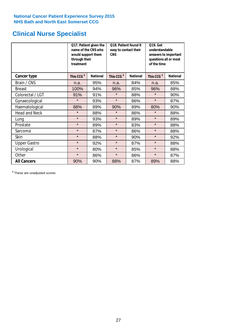# **Clinical Nurse Specialist**

|                      | would support them<br>through their<br>treatment | Q17. Patient given the<br>name of the CNS who | Q18. Patient found it<br>easy to contact their<br><b>CNS</b> |                 | <b>Q19. Get</b><br>understandable<br>answers to important<br>questions all or most<br>of the time |                 |  |
|----------------------|--------------------------------------------------|-----------------------------------------------|--------------------------------------------------------------|-----------------|---------------------------------------------------------------------------------------------------|-----------------|--|
| <b>Cancer type</b>   | This CCG <sup>\$</sup>                           | <b>National</b>                               | This CCG <sup>\$</sup>                                       | <b>National</b> | This CCG <sup>\$</sup>                                                                            | <b>National</b> |  |
| Brain / CNS          | n.a.                                             | 95%                                           | n.a.                                                         | 84%             | n.a.                                                                                              | 85%             |  |
| <b>Breast</b>        | 100%                                             | 94%                                           | 96%                                                          | 85%             | 96%                                                                                               | 88%             |  |
| Colorectal / LGT     | 91%                                              | 91%                                           | $\star$                                                      | 88%             | $\star$                                                                                           | 90%             |  |
| Gynaecological       | $\star$                                          | 93%                                           | $\star$                                                      | 86%             | $\star$                                                                                           | 87%             |  |
| Haematological       | 88%                                              | 89%                                           | 90%                                                          | 89%             | 80%                                                                                               | 90%             |  |
| <b>Head and Neck</b> | $\star$                                          | 88%                                           | $\star$                                                      | 86%             | $\star$                                                                                           | 88%             |  |
| Lung                 | $\star$                                          | 93%                                           | $\star$                                                      | 89%             | $\star$                                                                                           | 89%             |  |
| Prostate             | $\star$                                          | 89%                                           | $\star$                                                      | 83%             | $\star$                                                                                           | 88%             |  |
| Sarcoma              | $\star$                                          | 87%                                           | $\star$                                                      | 86%             | $\star$                                                                                           | 88%             |  |
| Skin                 | $\star$                                          | 88%                                           | $\star$                                                      | 90%             | $\star$                                                                                           | 92%             |  |
| <b>Upper Gastro</b>  | $\star$                                          | 92%                                           | $\star$                                                      | 87%             | $\star$                                                                                           | 88%             |  |
| Urological           | $\star$                                          | 80%                                           | $\star$                                                      | 85%             | $\star$                                                                                           | 88%             |  |
| Other                | $\star$                                          | 86%                                           | $\star$                                                      | 86%             | $\star$                                                                                           | 87%             |  |
| <b>All Cancers</b>   | 90%                                              | 90%                                           | 88%                                                          | 87%             | 89%                                                                                               | 88%             |  |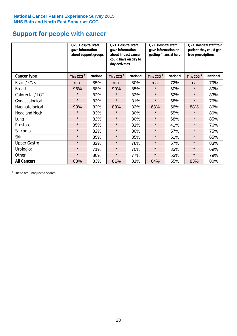# **Support for people with cancer**

|                      |                        | Q20. Hospital staff<br>gave information<br>about support groups |                        | Q21. Hospital staff<br>gave information<br>about impact cancer<br>could have on day to<br>day activities |                        | Q22. Hospital staff<br>gave information on<br>getting financial help |                        | Q23. Hospital staff told<br>patient they could get<br>free prescriptions |  |
|----------------------|------------------------|-----------------------------------------------------------------|------------------------|----------------------------------------------------------------------------------------------------------|------------------------|----------------------------------------------------------------------|------------------------|--------------------------------------------------------------------------|--|
| Cancer type          | This CCG <sup>\$</sup> | <b>National</b>                                                 | This CCG <sup>\$</sup> | <b>National</b>                                                                                          | This CCG <sup>\$</sup> | <b>National</b>                                                      | This CCG <sup>\$</sup> | <b>National</b>                                                          |  |
| Brain / CNS          | n.a.                   | 85%                                                             | n.a.                   | 80%                                                                                                      | n.a.                   | 72%                                                                  | n.a.                   | 79%                                                                      |  |
| <b>Breast</b>        | 96%                    | 88%                                                             | 90%                    | 85%                                                                                                      | $\star$                | 60%                                                                  | $\star$                | 80%                                                                      |  |
| Colorectal / LGT     | $\star$                | 82%                                                             | $\star$                | 82%                                                                                                      | $\star$                | 52%                                                                  | $\star$                | 83%                                                                      |  |
| Gynaecological       | $\star$                | 83%                                                             | $\star$                | 81%                                                                                                      | $\star$                | 58%                                                                  | $\star$                | 76%                                                                      |  |
| Haematological       | 93%                    | 82%                                                             | 80%                    | 82%                                                                                                      | 63%                    | 56%                                                                  | 88%                    | 86%                                                                      |  |
| <b>Head and Neck</b> | $\star$                | 83%                                                             | $\star$                | 80%                                                                                                      | $\star$                | 55%                                                                  | $\star$                | 80%                                                                      |  |
| Lung                 | $\star$                | 82%                                                             | $\star$                | 80%                                                                                                      | $\star$                | 68%                                                                  | $\star$                | 85%                                                                      |  |
| Prostate             | $\star$                | 85%                                                             | $\star$                | 81%                                                                                                      | $\star$                | 41%                                                                  | $\star$                | 76%                                                                      |  |
| Sarcoma              | $\star$                | 82%                                                             | $\star$                | 80%                                                                                                      | $\star$                | 57%                                                                  | $\star$                | 75%                                                                      |  |
| Skin                 | $\star$                | 85%                                                             | $\star$                | 85%                                                                                                      | $\star$                | 51%                                                                  | $\star$                | 65%                                                                      |  |
| <b>Upper Gastro</b>  | $\star$                | 82%                                                             | $\star$                | 78%                                                                                                      | $\star$                | 57%                                                                  | $\star$                | 83%                                                                      |  |
| Urological           | $\star$                | 71%                                                             | $\star$                | 70%                                                                                                      | $\star$                | 33%                                                                  | $\star$                | 69%                                                                      |  |
| Other                | $\star$                | 80%                                                             | $\star$                | 77%                                                                                                      | $\star$                | 53%                                                                  | $\star$                | 79%                                                                      |  |
| <b>All Cancers</b>   | 88%                    | 83%                                                             | 81%                    | 81%                                                                                                      | 64%                    | 55%                                                                  | 83%                    | 80%                                                                      |  |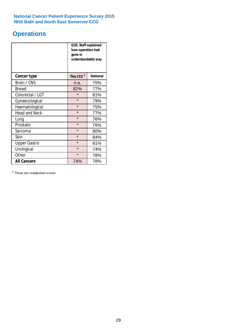# **Operations**

|                      | Q26. Staff explained<br>how operation had<br>gone in<br>understandable way |                 |  |  |  |
|----------------------|----------------------------------------------------------------------------|-----------------|--|--|--|
| <b>Cancer type</b>   | This CCG <sup>\$</sup>                                                     | <b>National</b> |  |  |  |
| Brain / CNS          | n.a.                                                                       | 75%             |  |  |  |
| <b>Breast</b>        | 82%                                                                        | 77%             |  |  |  |
| Colorectal / LGT     | $\star$                                                                    | 81%             |  |  |  |
| Gynaecological       | $\star$                                                                    | 79%             |  |  |  |
| Haematological       | $\star$                                                                    | 75%             |  |  |  |
| <b>Head and Neck</b> | $\star$                                                                    | 77%             |  |  |  |
| Lung                 | $\star$                                                                    | 76%             |  |  |  |
| Prostate             | $\star$                                                                    | 76%             |  |  |  |
| Sarcoma              | $\star$                                                                    | 80%             |  |  |  |
| Skin                 | $\star$                                                                    | 84%             |  |  |  |
| <b>Upper Gastro</b>  | $\star$                                                                    | 81%             |  |  |  |
| Urological           | $\star$                                                                    | 74%             |  |  |  |
| Other                | $\star$                                                                    | 78%             |  |  |  |
| <b>All Cancers</b>   | 74%                                                                        | 78%             |  |  |  |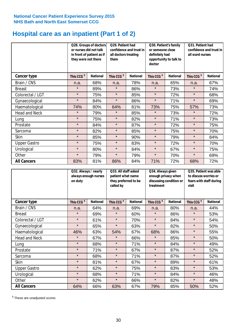# **Hospital care as an inpatient (Part 1 of 2)**

|                      | Q28. Groups of doctors<br>or nurses did not talk<br>in front of patient as if<br>they were not there |                 | Q29. Patient had<br>confidence and trust in<br>all doctors treating<br>them |                 | Q30. Patient's family<br>or someone close<br>definitely had<br>opportunity to talk to<br>doctor |                 | Q31. Patient had<br>confidence and trust in I<br>all ward nurses |                 |
|----------------------|------------------------------------------------------------------------------------------------------|-----------------|-----------------------------------------------------------------------------|-----------------|-------------------------------------------------------------------------------------------------|-----------------|------------------------------------------------------------------|-----------------|
| Cancer type          | This CCG <sup>\$</sup>                                                                               | <b>National</b> | This CCG <sup>\$</sup>                                                      | <b>National</b> | This CCG <sup>\$</sup>                                                                          | <b>National</b> | This CCG <sup>\$</sup>                                           | <b>National</b> |
| Brain / CNS          | n.a.                                                                                                 | 68%             | n.a.                                                                        | 78%             | n.a.                                                                                            | 65%             | n.a.                                                             | 67%             |
| <b>Breast</b>        | $\star$                                                                                              | 89%             | $\star$                                                                     | 86%             | $\star$                                                                                         | 73%             | $\star$                                                          | 74%             |
| Colorectal / LGT     | $\star$                                                                                              | 75%             | $\star$                                                                     | 85%             | $\star$                                                                                         | 72%             | $\star$                                                          | 68%             |
| Gynaecological       | $\star$                                                                                              | 84%             | $\star$                                                                     | 86%             | $\star$                                                                                         | 71%             | $\star$                                                          | 69%             |
| Haematological       | 74%                                                                                                  | 80%             | 64%                                                                         | 81%             | 73%                                                                                             | 75%             | 57%                                                              | 73%             |
| <b>Head and Neck</b> | $\star$                                                                                              | 79%             | $\star$                                                                     | 85%             | $\star$                                                                                         | 73%             | $\star$                                                          | 72%             |
| Lung                 | $\star$                                                                                              | 75%             | $\star$                                                                     | 82%             | $\star$                                                                                         | 71%             | $\star$                                                          | 73%             |
| Prostate             | $\star$                                                                                              | 84%             | $\star$                                                                     | 87%             | $\star$                                                                                         | 72%             | $\star$                                                          | 75%             |
| Sarcoma              | $\star$                                                                                              | 82%             | $\star$                                                                     | 85%             | $\star$                                                                                         | 75%             | $\star$                                                          | 70%             |
| Skin                 | $\star$                                                                                              | 85%             | $\star$                                                                     | 90%             | $\star$                                                                                         | 79%             | $\star$                                                          | 84%             |
| <b>Upper Gastro</b>  | $\star$                                                                                              | 75%             | $\star$                                                                     | 83%             | $\star$                                                                                         | 72%             | $\star$                                                          | 70%             |
| Urological           | $\star$                                                                                              | 80%             | $\star$                                                                     | 84%             | $\star$                                                                                         | 67%             | $\star$                                                          | 75%             |
| Other                | $\star$                                                                                              | 79%             | $\star$                                                                     | 79%             | $\star$                                                                                         | 70%             | $\star$                                                          | 69%             |
| <b>All Cancers</b>   | 83%                                                                                                  | 81%             | 86%                                                                         | 84%             | 71%                                                                                             | 72%             | 68%                                                              | 72%             |

|                      | Q32. Always / nearly<br>always enough nurses<br>on duty |                 | Q33. All staff asked<br>patient what name<br>they preferred to be<br>called by |                 | Q34. Always given<br>enough privacy when<br>discussing condition or<br>treatment |                 | Q35. Patient was able<br>to discuss worries or<br>fears with staff during<br>visit |                 |
|----------------------|---------------------------------------------------------|-----------------|--------------------------------------------------------------------------------|-----------------|----------------------------------------------------------------------------------|-----------------|------------------------------------------------------------------------------------|-----------------|
| <b>Cancer type</b>   | This CCG <sup>\$</sup>                                  | <b>National</b> | This CCG <sup>\$</sup>                                                         | <b>National</b> | This CCG <sup>\$</sup>                                                           | <b>National</b> | This CCG <sup>\$</sup>                                                             | <b>National</b> |
| Brain / CNS          | n.a.                                                    | 64%             | n.a.                                                                           | 69%             | n.a.                                                                             | 80%             | n.a.                                                                               | 44%             |
| <b>Breast</b>        | $\star$                                                 | 69%             | $\star$                                                                        | 60%             | $\star$                                                                          | 86%             | $\star$                                                                            | 53%             |
| Colorectal / LGT     | $\star$                                                 | 61%             | $\star$                                                                        | 70%             | $\star$                                                                          | 84%             | $\star$                                                                            | 54%             |
| Gynaecological       | $\star$                                                 | 65%             | $\star$                                                                        | 63%             | $\star$                                                                          | 82%             | $\star$                                                                            | 50%             |
| Haematological       | 46%                                                     | 63%             | 54%                                                                            | 67%             | 68%                                                                              | 86%             | $\star$                                                                            | 55%             |
| <b>Head and Neck</b> | $\star$                                                 | 67%             | $\star$                                                                        | 66%             | $\star$                                                                          | 85%             | $\star$                                                                            | 50%             |
| Lung                 | $\star$                                                 | 68%             | $\star$                                                                        | 71%             | $\star$                                                                          | 84%             | $\star$                                                                            | 49%             |
| Prostate             | $\star$                                                 | 71%             | $\star$                                                                        | 67%             | $\star$                                                                          | 87%             | $\star$                                                                            | 52%             |
| Sarcoma              | $\star$                                                 | 68%             | $\star$                                                                        | 71%             | $\star$                                                                          | 87%             | $\star$                                                                            | 52%             |
| Skin                 | $\star$                                                 | 81%             | $\star$                                                                        | 67%             | $\star$                                                                          | 89%             | $\star$                                                                            | 61%             |
| <b>Upper Gastro</b>  | $\star$                                                 | 62%             | $\star$                                                                        | 75%             | $\star$                                                                          | 83%             | $\star$                                                                            | 53%             |
| Urological           | $\star$                                                 | 68%             | $\star$                                                                        | 71%             | $\star$                                                                          | 84%             | $\star$                                                                            | 46%             |
| Other                | $\star$                                                 | 62%             | $\star$                                                                        | 66%             | $\star$                                                                          | 82%             | $\star$                                                                            | 48%             |
| <b>All Cancers</b>   | 64%                                                     | 66%             | 63%                                                                            | 67%             | 79%                                                                              | 85%             | 50%                                                                                | 52%             |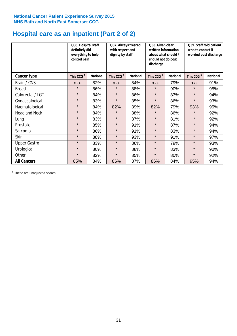# **Hospital care as an inpatient (Part 2 of 2)**

|                      | Q36. Hospital staff<br>definitely did<br>everything to help<br>control pain |                 | Q37. Always treated<br>with respect and<br>dignity by staff |                 | Q38. Given clear<br>written information<br>about what should /<br>should not do post<br>discharge |                 | Q39. Staff told patient<br>who to contact if<br>worried post discharge |                 |
|----------------------|-----------------------------------------------------------------------------|-----------------|-------------------------------------------------------------|-----------------|---------------------------------------------------------------------------------------------------|-----------------|------------------------------------------------------------------------|-----------------|
| Cancer type          | This CCG <sup>\$</sup>                                                      | <b>National</b> | This CCG <sup>\$</sup>                                      | <b>National</b> | This CCG <sup>\$</sup>                                                                            | <b>National</b> | This CCG <sup>\$</sup>                                                 | <b>National</b> |
| Brain / CNS          | n.a.                                                                        | 82%             | n.a.                                                        | 84%             | n.a.                                                                                              | 79%             | n.a.                                                                   | 91%             |
| <b>Breast</b>        | $\star$                                                                     | 86%             | $\star$                                                     | 88%             | $\star$                                                                                           | 90%             | $\star$                                                                | 95%             |
| Colorectal / LGT     | $\star$                                                                     | 84%             | $\star$                                                     | 86%             | $\star$                                                                                           | 83%             | $\star$                                                                | 94%             |
| Gynaecological       | $\star$                                                                     | 83%             | $\star$                                                     | 85%             | $\star$                                                                                           | 86%             | $\star$                                                                | 93%             |
| Haematological       | $\star$                                                                     | 84%             | 82%                                                         | 89%             | 82%                                                                                               | 79%             | 93%                                                                    | 95%             |
| <b>Head and Neck</b> | $\star$                                                                     | 84%             | $\star$                                                     | 88%             | $\star$                                                                                           | 86%             | $\star$                                                                | 92%             |
| Lung                 | $\star$                                                                     | 83%             | $\star$                                                     | 87%             | $\star$                                                                                           | 81%             | $\star$                                                                | 92%             |
| Prostate             | $\star$                                                                     | 85%             | $\star$                                                     | 91%             | $\star$                                                                                           | 87%             | $\star$                                                                | 94%             |
| Sarcoma              | $\star$                                                                     | 86%             | $\star$                                                     | 91%             | $\star$                                                                                           | 83%             | $\star$                                                                | 94%             |
| Skin                 | $\star$                                                                     | 88%             | $\star$                                                     | 93%             | $\star$                                                                                           | 91%             | $\star$                                                                | 97%             |
| <b>Upper Gastro</b>  | $\star$                                                                     | 83%             | $\star$                                                     | 86%             | $\star$                                                                                           | 79%             | $\star$                                                                | 93%             |
| Urological           | $\star$                                                                     | 80%             | $\star$                                                     | 88%             | $\star$                                                                                           | 83%             | $\star$                                                                | 90%             |
| Other                | $\star$                                                                     | 82%             | $\star$                                                     | 85%             | $\star$                                                                                           | 80%             | $\star$                                                                | 92%             |
| <b>All Cancers</b>   | 85%                                                                         | 84%             | 86%                                                         | 87%             | 86%                                                                                               | 84%             | 95%                                                                    | 94%             |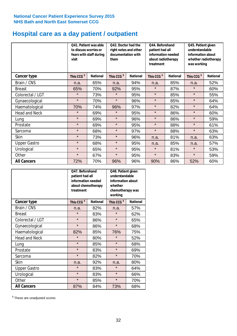# **Hospital care as a day patient / outpatient**

|                      | Q41. Patient was able<br>to discuss worries or<br>fears with staff during<br>visit | Q42. Doctor had the<br>right notes and other<br>documentation with<br>them |                        | Q44. Beforehand<br>patient had all<br>information needed<br>about radiotherapy<br>treatment |                        | Q45. Patient given<br>understandable<br>information about<br>whether radiotherapy<br>was working |                        |                 |
|----------------------|------------------------------------------------------------------------------------|----------------------------------------------------------------------------|------------------------|---------------------------------------------------------------------------------------------|------------------------|--------------------------------------------------------------------------------------------------|------------------------|-----------------|
| Cancer type          | This CCG <sup>\$</sup>                                                             | <b>National</b>                                                            | This CCG <sup>\$</sup> | <b>National</b>                                                                             | This CCG <sup>\$</sup> | <b>National</b>                                                                                  | This CCG <sup>\$</sup> | <b>National</b> |
| Brain / CNS          | n.a.                                                                               | 65%                                                                        | n.a.                   | 94%                                                                                         | n.a.                   | 85%                                                                                              | n.a.                   | 52%             |
| <b>Breast</b>        | 65%                                                                                | 70%                                                                        | 92%                    | 95%                                                                                         | $\star$                | 87%                                                                                              | $\star$                | 60%             |
| Colorectal / LGT     | $\star$                                                                            | 73%                                                                        | $\star$                | 95%                                                                                         | $\star$                | 85%                                                                                              | $\star$                | 55%             |
| Gynaecological       | $\star$                                                                            | 70%                                                                        | $\star$                | 96%                                                                                         | $\star$                | 85%                                                                                              | $\star$                | 64%             |
| Haematological       | 70%                                                                                | 74%                                                                        | 96%                    | 97%                                                                                         | $\star$                | 82%                                                                                              | $\star$                | 64%             |
| <b>Head and Neck</b> | $\star$                                                                            | 69%                                                                        | $\star$                | 95%                                                                                         | $\star$                | 86%                                                                                              | $\star$                | 60%             |
| Lung                 | $\star$                                                                            | 69%                                                                        | $\star$                | 96%                                                                                         | $\star$                | 86%                                                                                              | $\star$                | 59%             |
| Prostate             | $\star$                                                                            | 69%                                                                        | $\star$                | 95%                                                                                         | $\star$                | 88%                                                                                              | $\star$                | 61%             |
| Sarcoma              | $\star$                                                                            | 68%                                                                        | $\star$                | 97%                                                                                         | $\star$                | 88%                                                                                              | $\star$                | 63%             |
| Skin                 | $\star$                                                                            | 73%                                                                        | $\star$                | 96%                                                                                         | n.a.                   | 81%                                                                                              | n.a.                   | 63%             |
| <b>Upper Gastro</b>  | $\star$                                                                            | 68%                                                                        | $\star$                | 95%                                                                                         | n.a.                   | 85%                                                                                              | n.a.                   | 57%             |
| Urological           | $\star$                                                                            | 65%                                                                        | $\star$                | 95%                                                                                         | $\star$                | 81%                                                                                              | $\star$                | 53%             |
| Other                | $\star$                                                                            | 67%                                                                        | $\star$                | 95%                                                                                         | $\star$                | 83%                                                                                              | $\star$                | 59%             |
| <b>All Cancers</b>   | 72%                                                                                | 70%                                                                        | 96%                    | 96%                                                                                         | 90%                    | 86%                                                                                              | 52%                    | 60%             |

|                      | Q47. Beforehand<br>patient had all<br>information needed<br>about chemotherapy<br>treatment |                 | Q48. Patient given<br>understandable<br>information about<br>whether<br>chemotherapy was<br>working |                 |  |
|----------------------|---------------------------------------------------------------------------------------------|-----------------|-----------------------------------------------------------------------------------------------------|-----------------|--|
| <b>Cancer type</b>   | This CCG <sup>\$</sup>                                                                      | <b>National</b> | This CCG <sup>\$</sup>                                                                              | <b>National</b> |  |
| Brain / CNS          | n.a.                                                                                        | 82%             | n.a.                                                                                                | 57%             |  |
| <b>Breast</b>        | $\star$                                                                                     | 83%             | $\star$                                                                                             | 62%             |  |
| Colorectal / LGT     | $\star$                                                                                     | 86%             | $\star$                                                                                             | 65%             |  |
| Gynaecological       | $\star$                                                                                     | 86%             | $\star$                                                                                             | 68%             |  |
| Haematological       | 82%                                                                                         | 85%             | 76%                                                                                                 | 75%             |  |
| <b>Head and Neck</b> | $\star$                                                                                     | 80%             | $\star$                                                                                             | 52%             |  |
| Lung                 | $\star$                                                                                     | 85%             | $\star$                                                                                             | 68%             |  |
| Prostate             | $\star$                                                                                     | 83%             | $\star$                                                                                             | 69%             |  |
| Sarcoma              | $\star$                                                                                     | 82%             | $\star$                                                                                             | 70%             |  |
| Skin                 | n.a.                                                                                        | 92%             | n.a.                                                                                                | 80%             |  |
| <b>Upper Gastro</b>  | $\star$                                                                                     | 83%             | $\star$                                                                                             | 64%             |  |
| Urological           | $\star$                                                                                     | 83%             | $\star$                                                                                             | 66%             |  |
| Other                | $\star$                                                                                     | 85%             | $\star$                                                                                             | 70%             |  |
| <b>All Cancers</b>   | 87%                                                                                         | 84%             | 73%                                                                                                 | 68%             |  |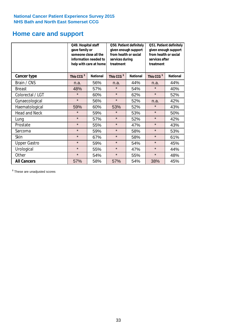# **Home care and support**

|                      | Q49. Hospital staff<br>Q50. Patient definitely<br>given enough support<br>gave family or<br>from health or social<br>someone close all the<br>information needed to<br>services during<br>treatment<br>help with care at home |                 | Q51. Patient definitely<br>given enough support<br>from health or social<br>services after<br>treatment |                 |                        |                 |
|----------------------|-------------------------------------------------------------------------------------------------------------------------------------------------------------------------------------------------------------------------------|-----------------|---------------------------------------------------------------------------------------------------------|-----------------|------------------------|-----------------|
| <b>Cancer type</b>   | This CCG <sup>\$</sup>                                                                                                                                                                                                        | <b>National</b> | This CCG <sup>\$</sup>                                                                                  | <b>National</b> | This CCG <sup>\$</sup> | <b>National</b> |
| Brain / CNS          | n.a.                                                                                                                                                                                                                          | 56%             | n.a.                                                                                                    | 44%             | n.a.                   | 44%             |
| <b>Breast</b>        | 48%                                                                                                                                                                                                                           | 57%             | $\star$                                                                                                 | 54%             | $\star$                | 40%             |
| Colorectal / LGT     | $\star$                                                                                                                                                                                                                       | 60%             | $\star$                                                                                                 | 62%             | $\star$                | 52%             |
| Gynaecological       | $\star$                                                                                                                                                                                                                       | 56%             | $\star$                                                                                                 | 52%             | n.a.                   | 42%             |
| Haematological       | 59%                                                                                                                                                                                                                           | 60%             | 53%                                                                                                     | 52%             | $\star$                | 43%             |
| <b>Head and Neck</b> | $\star$                                                                                                                                                                                                                       | 59%             | $\star$                                                                                                 | 53%             | $\star$                | 50%             |
| Lung                 | $\star$                                                                                                                                                                                                                       | 57%             | $\star$                                                                                                 | 52%             | $\star$                | 42%             |
| Prostate             | $\star$                                                                                                                                                                                                                       | 55%             | $\star$                                                                                                 | 47%             | $\star$                | 43%             |
| Sarcoma              | $\star$                                                                                                                                                                                                                       | 59%             | $\star$                                                                                                 | 58%             | $\star$                | 53%             |
| Skin                 | $\star$                                                                                                                                                                                                                       | 67%             | $\star$                                                                                                 | 58%             | $\star$                | 61%             |
| <b>Upper Gastro</b>  | $\star$                                                                                                                                                                                                                       | 59%             | $\star$                                                                                                 | 54%             | $\star$                | 45%             |
| Urological           | $\star$                                                                                                                                                                                                                       | 55%             | $\star$                                                                                                 | 47%             | $\star$                | 44%             |
| Other                | $\star$                                                                                                                                                                                                                       | 54%             | $\star$                                                                                                 | 55%             | $\star$                | 48%             |
| <b>All Cancers</b>   | 57%                                                                                                                                                                                                                           | 58%             | 57%                                                                                                     | 54%             | 38%                    | 45%             |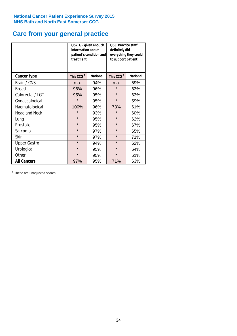# **Care from your general practice**

|                      | information about<br>treatment | Q52. GP given enough<br>patient's condition and | O53. Practice staff<br>definitely did<br>everything they could<br>to support patient |                 |  |
|----------------------|--------------------------------|-------------------------------------------------|--------------------------------------------------------------------------------------|-----------------|--|
| <b>Cancer type</b>   | This CCG <sup>\$</sup>         | <b>National</b>                                 | This CCG <sup>\$</sup>                                                               | <b>National</b> |  |
| Brain / CNS          | n.a.                           | 94%                                             | n.a.                                                                                 | 59%             |  |
| <b>Breast</b>        | 96%                            | 96%                                             | $\star$                                                                              | 63%             |  |
| Colorectal / LGT     | 95%                            | 95%                                             | $\star$                                                                              | 63%             |  |
| Gynaecological       | $\star$                        | 95%                                             | $\star$                                                                              | 59%             |  |
| Haematological       | 100%                           | 96%                                             | 73%                                                                                  | 61%             |  |
| <b>Head and Neck</b> | $\star$                        | 93%                                             | $\star$                                                                              | 60%             |  |
| Lung                 | $\star$                        | 95%                                             | $\star$                                                                              | 62%             |  |
| Prostate             | $\star$                        | 95%                                             | $\star$                                                                              | 67%             |  |
| Sarcoma              | $\star$                        | 97%                                             | $\star$                                                                              | 65%             |  |
| Skin                 | $\star$                        | 97%                                             | $\star$                                                                              | 71%             |  |
| <b>Upper Gastro</b>  | $\star$                        | 94%                                             | $\star$                                                                              | 62%             |  |
| Urological           | $\star$                        | 95%                                             | $\star$                                                                              | 64%             |  |
| Other                | $\star$                        | 95%                                             | $\star$                                                                              | 61%             |  |
| <b>All Cancers</b>   | 97%                            | 95%                                             | 71%                                                                                  | 63%             |  |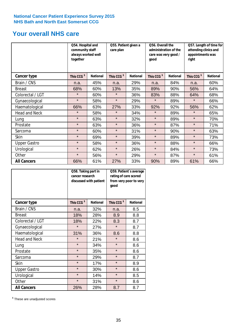# **Your overall NHS care**

|                      | Q54. Hospital and<br>community staff<br>always worked well<br>together |                 | Q55. Patient given a<br>care plan |                 | Q56. Overall the<br>administration of the<br>care was very good /<br>good |                 | Q57. Length of time for<br>attending clinics and<br>appointments was<br>right |                 |
|----------------------|------------------------------------------------------------------------|-----------------|-----------------------------------|-----------------|---------------------------------------------------------------------------|-----------------|-------------------------------------------------------------------------------|-----------------|
| Cancer type          | This CCG <sup>\$</sup>                                                 | <b>National</b> | This CCG <sup>\$</sup>            | <b>National</b> | This CCG <sup>\$</sup>                                                    | <b>National</b> | This CCG <sup>\$</sup>                                                        | <b>National</b> |
| Brain / CNS          | n.a.                                                                   | 45%             | n.a.                              | 29%             | n.a.                                                                      | 84%             | n.a.                                                                          | 60%             |
| <b>Breast</b>        | 68%                                                                    | 60%             | 13%                               | 35%             | 89%                                                                       | 90%             | 56%                                                                           | 64%             |
| Colorectal / LGT     | $\star$                                                                | 60%             | $\star$                           | 36%             | 83%                                                                       | 88%             | 64%                                                                           | 68%             |
| Gynaecological       | $\star$                                                                | 58%             | $\star$                           | 29%             | $\star$                                                                   | 89%             | $\star$                                                                       | 66%             |
| Haematological       | 66%                                                                    | 63%             | 27%                               | 33%             | 92%                                                                       | 92%             | 56%                                                                           | 62%             |
| <b>Head and Neck</b> | $\star$                                                                | 58%             | $\star$                           | 34%             | $\star$                                                                   | 89%             | $\star$                                                                       | 65%             |
| Lung                 | $\star$                                                                | 63%             | $\star$                           | 32%             | $\star$                                                                   | 89%             | $\star$                                                                       | 70%             |
| Prostate             | $\star$                                                                | 63%             | $\star$                           | 36%             | $\star$                                                                   | 87%             | $\star$                                                                       | 71%             |
| Sarcoma              | $\star$                                                                | 60%             | $\star$                           | 31%             | $\star$                                                                   | 90%             | $\star$                                                                       | 63%             |
| Skin                 | $\star$                                                                | 69%             | $\star$                           | 39%             | $\star$                                                                   | 89%             | $\star$                                                                       | 73%             |
| <b>Upper Gastro</b>  | $\star$                                                                | 58%             | $\star$                           | 36%             | $\star$                                                                   | 88%             | $\star$                                                                       | 66%             |
| Urological           | $\star$                                                                | 62%             | $\star$                           | 26%             | $\star$                                                                   | 84%             | $\star$                                                                       | 73%             |
| Other                | $\star$                                                                | 56%             | $\star$                           | 29%             | $\star$                                                                   | 87%             | $\star$                                                                       | 61%             |
| <b>All Cancers</b>   | 66%                                                                    | 61%             | 27%                               | 33%             | 90%                                                                       | 89%             | 61%                                                                           | 66%             |

|                      | Q58. Taking part in<br>cancer research | discussed with patient | Q59. Patient's average<br>rating of care scored<br>from very poor to very<br>good |                 |  |
|----------------------|----------------------------------------|------------------------|-----------------------------------------------------------------------------------|-----------------|--|
| <b>Cancer type</b>   | This CCG <sup>\$</sup>                 | <b>National</b>        | This CCG <sup>\$</sup>                                                            | <b>National</b> |  |
| Brain / CNS          | n.a.                                   | 32%                    | n.a.                                                                              | 8.5             |  |
| <b>Breast</b>        | 18%                                    | 28%                    | 8.9                                                                               | 8.8             |  |
| Colorectal / LGT     | 18%                                    | 22%                    | 8.3                                                                               | 8.7             |  |
| Gynaecological       | $\star$                                | 27%                    | $\star$                                                                           | 8.7             |  |
| Haematological       | 31%                                    | 36%                    | 8.6                                                                               | 8.8             |  |
| <b>Head and Neck</b> | $\star$                                | 21%                    | $\star$                                                                           | 8.6             |  |
| Lung                 | $\star$                                | 34%                    | $\star$                                                                           | 8.6             |  |
| Prostate             | $\star$                                | 35%                    | $\star$                                                                           | 8.6             |  |
| Sarcoma              | $\star$                                | 29%                    | $\star$                                                                           | 8.7             |  |
| Skin                 | $\star$                                | 17%                    | $\star$                                                                           | 8.9             |  |
| <b>Upper Gastro</b>  | $\star$                                | 30%                    | $\star$                                                                           | 8.6             |  |
| Urological           | $\star$                                | 14%                    | $\star$                                                                           | 8.5             |  |
| Other                | $\star$                                | 31%                    | $\star$                                                                           | 8.6             |  |
| <b>All Cancers</b>   | 26%                                    | 28%                    | 8.7                                                                               | 8.7             |  |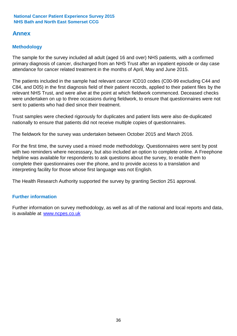## **Annex**

### **Methodology**

The sample for the survey included all adult (aged 16 and over) NHS patients, with a confirmed primary diagnosis of cancer, discharged from an NHS Trust after an inpatient episode or day case attendance for cancer related treatment in the months of April, May and June 2015.

The patients included in the sample had relevant cancer ICD10 codes (C00-99 excluding C44 and C84, and D05) in the first diagnosis field of their patient records, applied to their patient files by the relevant NHS Trust, and were alive at the point at which fieldwork commenced. Deceased checks were undertaken on up to three occasions during fieldwork, to ensure that questionnaires were not sent to patients who had died since their treatment.

Trust samples were checked rigorously for duplicates and patient lists were also de-duplicated nationally to ensure that patients did not receive multiple copies of questionnaires.

The fieldwork for the survey was undertaken between October 2015 and March 2016.

For the first time, the survey used a mixed mode methodology. Questionnaires were sent by post with two reminders where necesssary, but also included an option to complete online. A Freephone helpline was available for respondents to ask questions about the survey, to enable them to complete their questionnaires over the phone, and to provide access to a translation and interpreting facility for those whose first language was not English.

The Health Research Authority supported the survey by granting Section 251 approval.

### **Further information**

Further information on survey methodology, as well as all of the national and local reports and data, is available at www.ncpes.co.uk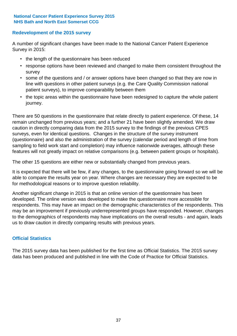### **Redevelopment of the 2015 survey**

A number of significant changes have been made to the National Cancer Patient Experience Survey in 2015:

- the length of the questionnaire has been reduced
- response options have been reviewed and changed to make them consistent throughout the survey
- some of the questions and / or answer options have been changed so that they are now in line with questions in other patient surveys (e.g. the Care Quality Commission national patient surveys), to improve comparability between them
- the topic areas within the questionnaire have been redesigned to capture the whole patient journey.

There are 50 questions in the questionnaire that relate directly to patient experience. Of these, 14 remain unchanged from previous years; and a further 21 have been slightly amended. We draw caution in directly comparing data from the 2015 survey to the findings of the previous CPES surveys, even for identical questions. Changes in the structure of the survey instrument (questionnaire) and also the administration of the survey (calendar period and length of time from sampling to field work start and completion) may influence nationwide averages, although these features will not greatly impact on relative comparisons (e.g. between patient groups or hospitals).

The other 15 questions are either new or substantially changed from previous years.

It is expected that there will be few, if any changes, to the questionnaire going forward so we will be able to compare the results year on year. Where changes are necessary they are expected to be for methodological reasons or to improve question reliability.

Another significant change in 2015 is that an online version of the questionnaire has been developed. The online version was developed to make the questionnaire more accessible for respondents. This may have an impact on the demographic characteristics of the respondents. This may be an improvement if previously underrepresented groups have responded. However, changes to the demographics of respondents may have implications on the overall results - and again, leads us to draw caution in directly comparing results with previous years.

### **Official Statistics**

The 2015 survey data has been published for the first time as Official Statistics. The 2015 survey data has been produced and published in line with the Code of Practice for Official Statistics.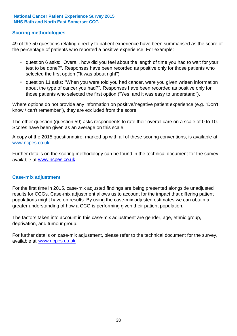### **Scoring methodologies**

49 of the 50 questions relating directly to patient experience have been summarised as the score of the percentage of patients who reported a positive experience. For example:

- question 6 asks: "Overall, how did you feel about the length of time you had to wait for your test to be done?". Responses have been recorded as positive only for those patients who selected the first option ("It was about right")
- question 11 asks: "When you were told you had cancer, were you given written information about the type of cancer you had?". Responses have been recorded as positive only for those patients who selected the first option ("Yes, and it was easy to understand").

Where options do not provide any information on positive/negative patient experience (e.g. "Don't know / can't remember"), they are excluded from the score.

The other question (question 59) asks respondents to rate their overall care on a scale of 0 to 10. Scores have been given as an average on this scale.

A copy of the 2015 questionnaire, marked up with all of these scoring conventions, is available at www.ncpes.co.uk

Further details on the scoring methodology can be found in the technical document for the survey, available at <u>www.ncpes.co.uk</u>

#### **Case-mix adjustment**

For the first time in 2015, case-mix adjusted findings are being presented alongside unadjusted results for CCGs. Case-mix adjustment allows us to account for the impact that differing patient populations might have on results. By using the case-mix adjusted estimates we can obtain a greater understanding of how a CCG is performing given their patient population.

The factors taken into account in this case-mix adjustment are gender, age, ethnic group, deprivation, and tumour group.

For further details on case-mix adjustment, please refer to the technical document for the survey, available at www.ncpes.co.uk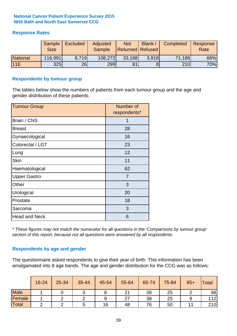### **Response Rates**

|                 | Sample<br><b>Size</b> | <b>Excluded</b> | Adjusted<br><b>Sample</b> | <b>Not</b><br><b>Returned Refused</b> | Blank / | Completed | Response<br>Rate |
|-----------------|-----------------------|-----------------|---------------------------|---------------------------------------|---------|-----------|------------------|
| <b>National</b> | 116,991               | 8.719           | 108,272                   | 33,168                                | 3.918   | 71,186    | 66%              |
| 11E             | <b>325</b>            | 26              | 299                       | 81                                    |         | 210       | 70%              |

#### **Respondents by tumour group**

The tables below show the numbers of patients from each tumour group and the age and gender distribution of these patients.

| <b>Tumour Group</b>  | Number of<br>respondents* |
|----------------------|---------------------------|
| Brain / CNS          | 1                         |
| <b>Breast</b>        | 28                        |
| Gynaecological       | 16                        |
| Colorectal / LGT     | 23                        |
| Lung                 | 12                        |
| <b>Skin</b>          | 11                        |
| Haematological       | 62                        |
| <b>Upper Gastro</b>  | $\overline{7}$            |
| Other                | 3                         |
| Urological           | 20                        |
| Prostate             | 18                        |
| Sarcoma              | 3                         |
| <b>Head and Neck</b> | 6                         |

*\* These figures may not match the numerator for all questions in the 'Comparisons by tumour group' section of this report, because not all questions were answered by all respondents.*

### **Respondents by age and gender**

The questionnaire asked respondents to give their year of birth. This information has been amalgamated into 8 age bands. The age and gender distribution for the CCG was as follows:

|             | 16-24 | 25-34 | 35-44                | 45-54 | 55-64         | 65-74 | 75-84 | $85+$ | Total |
|-------------|-------|-------|----------------------|-------|---------------|-------|-------|-------|-------|
| <b>Male</b> |       |       |                      |       | $\mathcal{L}$ | 38    | 25    |       | 98    |
| Female      |       |       |                      |       | ົ             | 38    | 25    |       | 112   |
| Total       |       |       | $\ddot{\phantom{1}}$ | 16    | 48            | 76    | 50    |       | 210   |